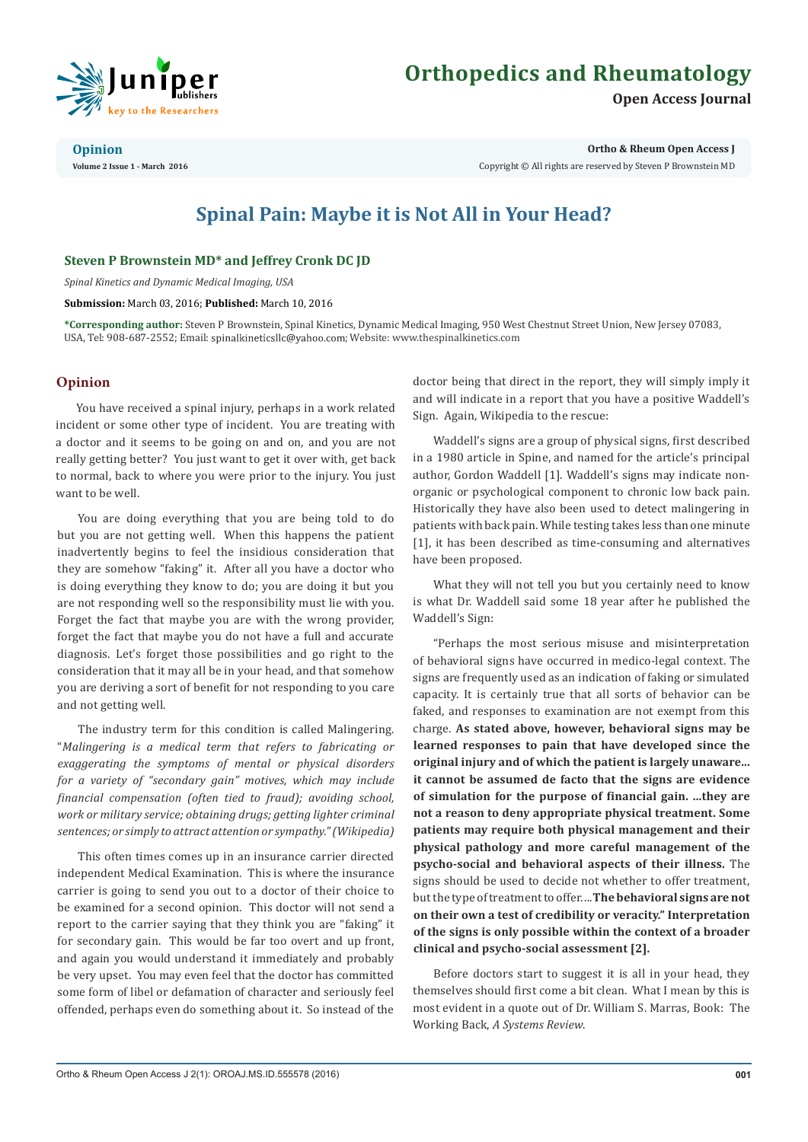

# **Orthopedics and Rheumatology**

**Open Access Journal**

#### **Opinion**

**Volume 2 Issue 1 - March 2016**

**Ortho & Rheum Open Access J**

Copyright © All rights are reserved by Steven P Brownstein MD

## **Spinal Pain: Maybe it is Not All in Your Head?**

### **Steven P Brownstein MD\* and Jeffrey Cronk DC JD**

*Spinal Kinetics and Dynamic Medical Imaging, USA*

**Submission:** March 03, 2016; **Published:** March 10, 2016

**\*Corresponding author:** Steven P Brownstein, Spinal Kinetics, Dynamic Medical Imaging, 950 West Chestnut Street Union, New Jersey 07083, USA, Tel: 908-687-2552; Email: spinalkineticsllc@yahoo.com; Website: www.thespinalkinetics.com

### **Opinion**

You have received a spinal injury, perhaps in a work related incident or some other type of incident. You are treating with a doctor and it seems to be going on and on, and you are not really getting better? You just want to get it over with, get back to normal, back to where you were prior to the injury. You just want to be well.

You are doing everything that you are being told to do but you are not getting well. When this happens the patient inadvertently begins to feel the insidious consideration that they are somehow "faking" it. After all you have a doctor who is doing everything they know to do; you are doing it but you are not responding well so the responsibility must lie with you. Forget the fact that maybe you are with the wrong provider, forget the fact that maybe you do not have a full and accurate diagnosis. Let's forget those possibilities and go right to the consideration that it may all be in your head, and that somehow you are deriving a sort of benefit for not responding to you care and not getting well.

The industry term for this condition is called Malingering. "*Malingering is a medical term that refers to fabricating or exaggerating the symptoms of mental or physical disorders for a variety of "secondary gain" motives, which may include financial compensation (often tied to fraud); avoiding school, work or military service; obtaining drugs; getting lighter criminal sentences; or simply to attract attention or sympathy." (Wikipedia)*

This often times comes up in an insurance carrier directed independent Medical Examination. This is where the insurance carrier is going to send you out to a doctor of their choice to be examined for a second opinion. This doctor will not send a report to the carrier saying that they think you are "faking" it for secondary gain. This would be far too overt and up front, and again you would understand it immediately and probably be very upset. You may even feel that the doctor has committed some form of libel or defamation of character and seriously feel offended, perhaps even do something about it. So instead of the doctor being that direct in the report, they will simply imply it and will indicate in a report that you have a positive Waddell's Sign. Again, Wikipedia to the rescue:

Waddell's signs are a group of physical signs, first described in a 1980 article in Spine, and named for the article's principal author, Gordon Waddell [1]. Waddell's signs may indicate nonorganic or psychological component to chronic low back pain. Historically they have also been used to detect malingering in patients with back pain. While testing takes less than one minute [1], it has been described as time-consuming and alternatives have been proposed.

What they will not tell you but you certainly need to know is what Dr. Waddell said some 18 year after he published the Waddell's Sign:

"Perhaps the most serious misuse and misinterpretation of behavioral signs have occurred in medico-legal context. The signs are frequently used as an indication of faking or simulated capacity. It is certainly true that all sorts of behavior can be faked, and responses to examination are not exempt from this charge. **As stated above, however, behavioral signs may be learned responses to pain that have developed since the original injury and of which the patient is largely unaware... it cannot be assumed de facto that the signs are evidence of simulation for the purpose of financial gain. ...they are not a reason to deny appropriate physical treatment. Some patients may require both physical management and their physical pathology and more careful management of the psycho-social and behavioral aspects of their illness.** The signs should be used to decide not whether to offer treatment, but the type of treatment to offer. ...**The behavioral signs are not on their own a test of credibility or veracity." Interpretation of the signs is only possible within the context of a broader clinical and psycho-social assessment [2].**

Before doctors start to suggest it is all in your head, they themselves should first come a bit clean. What I mean by this is most evident in a quote out of Dr. William S. Marras, Book: The Working Back, *A Systems Review*.